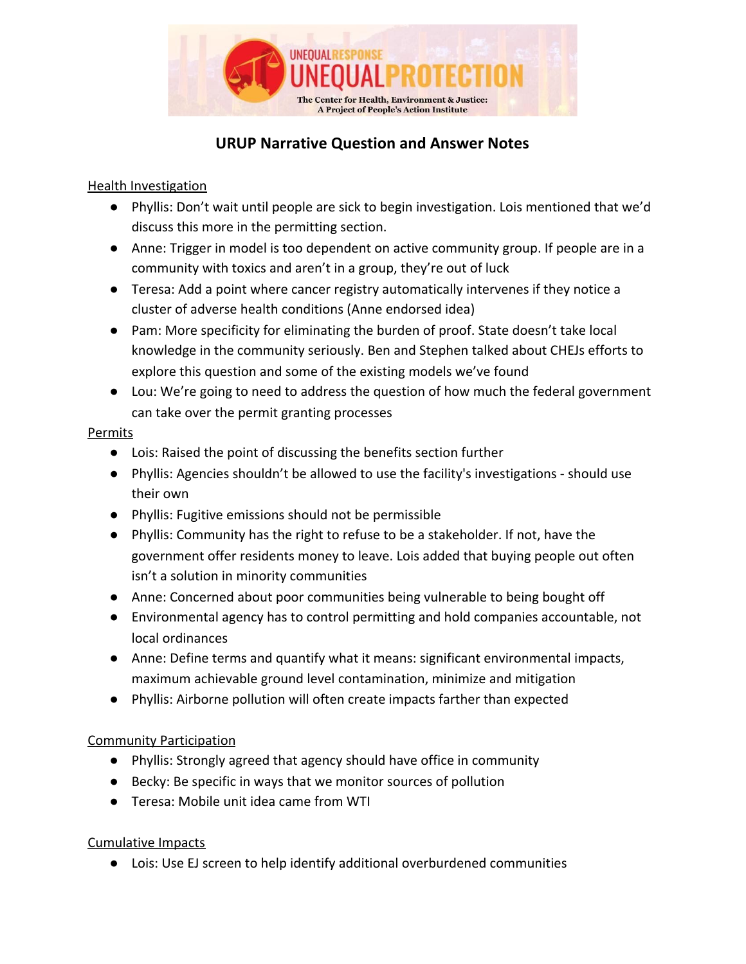

# **URUP Narrative Question and Answer Notes**

### Health Investigation

- Phyllis: Don't wait until people are sick to begin investigation. Lois mentioned that we'd discuss this more in the permitting section.
- Anne: Trigger in model is too dependent on active community group. If people are in a community with toxics and aren't in a group, they're out of luck
- Teresa: Add a point where cancer registry automatically intervenes if they notice a cluster of adverse health conditions (Anne endorsed idea)
- Pam: More specificity for eliminating the burden of proof. State doesn't take local knowledge in the community seriously. Ben and Stephen talked about CHEJs efforts to explore this question and some of the existing models we've found
- Lou: We're going to need to address the question of how much the federal government can take over the permit granting processes

#### Permits

- Lois: Raised the point of discussing the benefits section further
- Phyllis: Agencies shouldn't be allowed to use the facility's investigations should use their own
- Phyllis: Fugitive emissions should not be permissible
- Phyllis: Community has the right to refuse to be a stakeholder. If not, have the government offer residents money to leave. Lois added that buying people out often isn't a solution in minority communities
- Anne: Concerned about poor communities being vulnerable to being bought off
- Environmental agency has to control permitting and hold companies accountable, not local ordinances
- Anne: Define terms and quantify what it means: significant environmental impacts, maximum achievable ground level contamination, minimize and mitigation
- Phyllis: Airborne pollution will often create impacts farther than expected

## Community Participation

- Phyllis: Strongly agreed that agency should have office in community
- Becky: Be specific in ways that we monitor sources of pollution
- Teresa: Mobile unit idea came from WTI

## Cumulative Impacts

● Lois: Use EJ screen to help identify additional overburdened communities